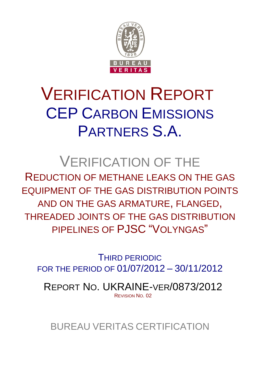

# VERIFICATION REPORT CEP CARBON EMISSIONS PARTNERS S.A.

## VERIFICATION OF THE

REDUCTION OF METHANE LEAKS ON THE GAS EQUIPMENT OF THE GAS DISTRIBUTION POINTS AND ON THE GAS ARMATURE, FLANGED, THREADED JOINTS OF THE GAS DISTRIBUTION PIPELINES OF PJSC "VOLYNGAS"

THIRD PERIODIC FOR THE PERIOD OF 01/07/2012 – 30/11/2012

REPORT NO. UKRAINE-VER/0873/2012 REVISION NO. 02

BUREAU VERITAS CERTIFICATION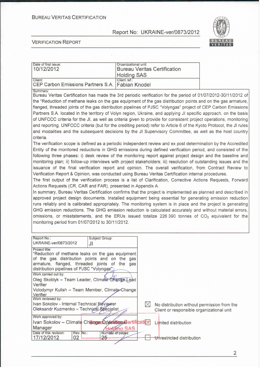**BUREAU VERITAS CERTIFICATION** 

Report No: UKRAINE-ver/0873/2012



**VERIFICATION REPORT** 

| Date of first issue:<br>10/12/2012                            | Organizational unit:<br><b>Bureau Veritas Certification</b><br><b>Holding SAS</b> |  |
|---------------------------------------------------------------|-----------------------------------------------------------------------------------|--|
| Client:<br>CEP Carbon Emissions Partners S.A.   Fabian Knodel | Client ref.:                                                                      |  |

Summary: Bureau Veritas Certification has made the 3rd periodic verification for the period of 01/07/2012-30/11/2012 of the "Reduction of methane leaks on the gas equipment of the gas distribution points and on the gas armature, flanged, threaded joints of the gas distribution pipelines of PJSC "Volyngas" project of CEP Carbon Emissions Partners S.A. located in the territory of Volyn region, Ukraine, and applying JI specific approach, on the basis of UNFCCC criteria for the JI, as well as criteria given to provide for consistent project operations, monitoring and reporting. UNFCCC criteria (but for the crediting period) refer to Article 6 of the Kyoto Protocol, the JI rules and modalities and the subsequent decisions by the JI Supervisory Committee, as well as the host country criteria.

The verification scope is defined as a periodic independent review and ex post determination by the Accredited Entity of the monitored reductions in GHG emissions during defined verification period, and consisted of the following three phases: i) desk review of the monitoring report against project design and the baseline and monitoring plan; ii) follow-up interviews with project stakeholders; iii) resolution of outstanding issues and the issuance of the final verification report and opinion. The overall verification, from Contract Review to Verification Report & Opinion, was conducted using Bureau Veritas Certification internal procedures.

The first output of the verification process is a list of Clarification. Corrective Actions Requests. Forward Actions Requests (CR, CAR and FAR), presented in Appendix A.

In summary, Bureau Veritas Certification confirms that the project is implemented as planned and described in approved project design documents. Installed equipment being essential for generating emission reduction runs reliably and is calibrated appropriately. The monitoring system is in place and the project is generating GHG emission reductions. The GHG emission reduction is calculated accurately and without material errors, omissions, or misstatements, and the ERUs issued totalize 226 390 tonnes of  $CO<sub>2</sub>$  equivalent for the monitoring period from 01/07/2012 to 30/11/2012.

| Report No.:<br>UKRAINE-ver/0873/2012                                                                                                                             | Subject Group:<br>JI                 |                                                                                          |
|------------------------------------------------------------------------------------------------------------------------------------------------------------------|--------------------------------------|------------------------------------------------------------------------------------------|
| Project title:<br>"Reduction of methane leaks on the gas equipment<br>of the gas distribution points and on the gas<br>armature, flanged, threaded joints of the | gas                                  |                                                                                          |
| distribution pipelines of PJSC "Volyngas"<br>Work carried out by:<br>Oleg Skoblyk - Team Leader, Climate Change Lead<br>Verifier                                 |                                      |                                                                                          |
| Volodymyr Kulish – Team Member, Climate-Change<br>Verifier<br>Work reviewed by:                                                                                  |                                      |                                                                                          |
| Ivan Sokolov - Internal Technical Reviewer<br>Oleksandr Kuzmenko - Technical Specialist                                                                          |                                      | No distribution without permission from the<br>Client or responsible organizational unit |
| Work approved by:<br>Ivan Sokolov - Climate Change Operational ertification                                                                                      |                                      | Limited distribution                                                                     |
| Manager<br>Date of this revision:<br>Rev. No.:<br>02<br>17/12/2012                                                                                               | <b>SAS</b><br>Number of pages:<br>25 | Unrestricted distribution                                                                |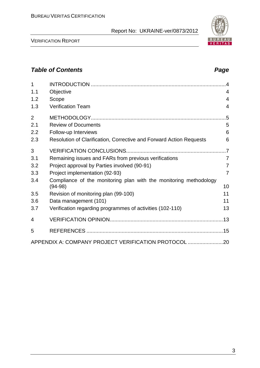VERIFICATION REPORT

### APPENDIX A: COMPANY PROJECT VERIFICATION PROTOCOL ........................20



| 1.1 | Objective                                                           | 4              |
|-----|---------------------------------------------------------------------|----------------|
| 1.2 | Scope                                                               | 4              |
| 1.3 | <b>Verification Team</b>                                            | 4              |
| 2   |                                                                     | .5             |
| 2.1 | <b>Review of Documents</b>                                          | 5              |
| 2.2 | Follow-up Interviews                                                | 6              |
| 2.3 | Resolution of Clarification, Corrective and Forward Action Requests | 6              |
| 3   |                                                                     |                |
| 3.1 | Remaining issues and FARs from previous verifications               | 7              |
| 3.2 | Project approval by Parties involved (90-91)                        | $\overline{7}$ |
| 3.3 | Project implementation (92-93)                                      | $\overline{7}$ |
| 3.4 | Compliance of the monitoring plan with the monitoring methodology   |                |
|     | (94-98)                                                             | 10             |
| 3.5 | Revision of monitoring plan (99-100)                                | 11             |
| 3.6 | Data management (101)                                               | 11             |
| 3.7 | Verification regarding programmes of activities (102-110)           | 13             |
| 4   |                                                                     |                |
| 5   |                                                                     |                |
|     | ΔΡΡΕΝΠΙΥ Δ' COMPANY PRO IECT VERIEICATION PROTOCOL                  | 20             |

1 INTRODUCTION ............................................................................................4

### *Table of Contents Page*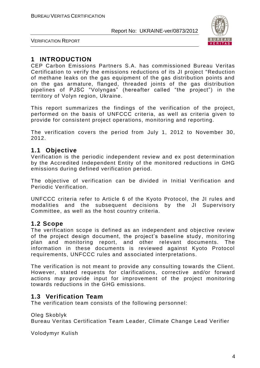

VERIFICATION REPORT

### **1 INTRODUCTION**

CEP Carbon Emissions Partners S.A. has commissioned Bureau Veritas Certification to verify the emissions reductions of its JI project "Reduction of methane leaks on the gas equipment of the gas distribution points and on the gas armature, flanged, threaded joints of the gas distribution pipelines of PJSC "Volyngas" (hereafter called "the project") in the territory of Volyn region, Ukraine.

This report summarizes the findings of the verification of the project, performed on the basis of UNFCCC criteria, as well as criteria given to provide for consistent project operations, monitoring and reporting.

The verification covers the period from July 1, 2012 to November 30, 2012.

#### **1.1 Objective**

Verification is the periodic independent review and ex post determination by the Accredited Independent Entity of the monitored reductions in GHG emissions during defined verification period.

The objective of verification can be divided in Initial Verification and Periodic Verification.

UNFCCC criteria refer to Article 6 of the Kyoto Protocol, the JI rules and modalities and the subsequent decisions by the JI Supervisory Committee, as well as the host country criteria.

#### **1.2 Scope**

The verification scope is defined as an independent and objective review of the project design document, the project's baseline study, monitoring plan and monitoring report, and other relevant documents. The information in these documents is reviewed against Kyoto Protocol requirements, UNFCCC rules and associated interpretations.

The verification is not meant to provide any consulting towards the Client. However, stated requests for clarifications, corrective and/or forward actions may provide input for improvement of the project monitoring towards reductions in the GHG emissions.

#### **1.3 Verification Team**

The verification team consists of the following personnel:

Oleg Skoblyk Bureau Veritas Certification Team Leader, Climate Change Lead Verifier

Volodymyr Kulish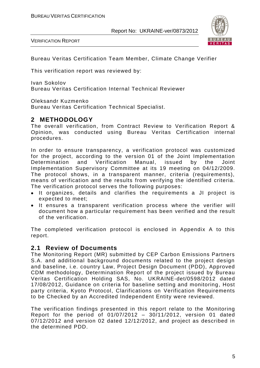VERIFICATION REPORT



Bureau Veritas Certification Team Member, Climate Change Verifier

This verification report was reviewed by:

Ivan Sokolov Bureau Veritas Certification Internal Technical Reviewer

Oleksandr Kuzmenko

Bureau Veritas Certification Technical Specialist.

#### **2 METHODOLOGY**

The overall verification, from Contract Review to Verification Report & Opinion, was conducted using Bureau Veritas Certification internal procedures.

In order to ensure transparency, a verification protocol was customized for the project, according to the version 01 of the Joint Implementation<br>Determination and Verification Manual, issued by the Joint Determination and Verification Manual, issued by the Joint Implementation Supervisory Committee at its 19 meeting on 04/12/2009. The protocol shows, in a transparent manner, criteria (requirements), means of verification and the results from verifying the identified criteria. The verification protocol serves the following purposes:

- It organizes, details and clarifies the requirements a JI project is expected to meet;
- It ensures a transparent verification process where the verifier will document how a particular requirement has been verified and the result of the verification.

The completed verification protocol is enclosed in Appendix A to this report.

#### **2.1 Review of Documents**

The Monitoring Report (MR) submitted by CEP Carbon Emissions Partners S.A. and additional background documents related to the project design and baseline, i.e. country Law, Project Design Document (PDD), Approved CDM methodology, Determination Report of the project issued by Bureau Veritas Certification Holding SAS, No. UKRAINE-det/0598/2012 dated 17/08/2012, Guidance on criteria for baseline setting and monitoring, Host party criteria, Kyoto Protocol, Clarifications on Verification Requirements to be Checked by an Accredited Independent Entity were reviewed.

The verification findings presented in this report relate to the Monitoring Report for the period of 01/07/2012 – 30/11/2012, version 01 dated 07/12/2012 and version 02 dated 12/12/2012, and project as described in the determined PDD.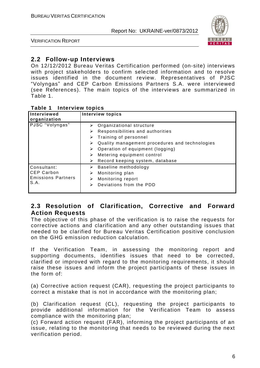

VERIFICATION REPORT

#### **2.2 Follow-up Interviews**

On 12/12/2012 Bureau Veritas Certification performed (on-site) interviews with project stakeholders to confirm selected information and to resolve issues identified in the document review. Representatives of PJSC "Volyngas" and CEP Carbon Emissions Partners S.A. were interviewed (see References). The main topics of the interviews are summarized in Table 1.

#### **Table 1 Interview topics**

| Interviewed<br>organization                                           | <b>Interview topics</b>                                                                                                                                                                                                                                                         |
|-----------------------------------------------------------------------|---------------------------------------------------------------------------------------------------------------------------------------------------------------------------------------------------------------------------------------------------------------------------------|
| PJSC "Volyngas"                                                       | Organizational structure<br>➤<br>Responsibilities and authorities<br>⋗<br>Training of personnel<br>➤<br>Quality management procedures and technologies<br>⋗<br>Operation of equipment (logging)<br>➤<br>Metering equipment control<br>⋗<br>Record keeping system, database<br>➤ |
| Consultant:<br><b>CEP Carbon</b><br><b>Emissions Partners</b><br>S.A. | Baseline methodology<br>➤<br>Monitoring plan<br>⋗<br>Monitoring report<br>⋗<br>Deviations from the PDD<br>⋗                                                                                                                                                                     |

#### **2.3 Resolution of Clarification, Corrective and Forward Action Requests**

The objective of this phase of the verification is to raise the requests for corrective actions and clarification and any other outstanding issues that needed to be clarified for Bureau Veritas Certification positive conclusion on the GHG emission reduction calculation.

If the Verification Team, in assessing the monitoring report and supporting documents, identifies issues that need to be corrected, clarified or improved with regard to the monitoring requirements, it should raise these issues and inform the project participants of these issues in the form of:

(a) Corrective action request (CAR), requesting the project participants to correct a mistake that is not in accordance with the monitoring plan;

(b) Clarification request (CL), requesting the project participants to provide additional information for the Verification Team to assess compliance with the monitoring plan;

(c) Forward action request (FAR), informing the project participants of an issue, relating to the monitoring that needs to be reviewed during the next verification period.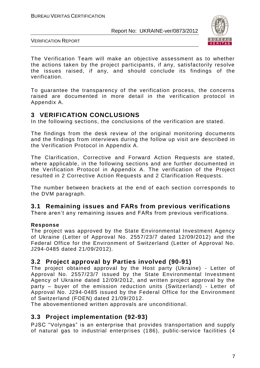

VERIFICATION REPORT

The Verification Team will make an objective assessment as to whether the actions taken by the project participants, if any, satisfactorily resolve the issues raised, if any, and should conclude its findings of the verification.

To guarantee the transparency of the verification process, the concerns raised are documented in more detail in the verification protocol in Appendix A.

#### **3 VERIFICATION CONCLUSIONS**

In the following sections, the conclusions of the verification are stated.

The findings from the desk review of the original monitoring documents and the findings from interviews during the follow up visit are described in the Verification Protocol in Appendix A.

The Clarification, Corrective and Forward Action Requests are stated, where applicable, in the following sections and are further documented in the Verification Protocol in Appendix A. The verification of the Project resulted in 2 Corrective Action Requests and 2 Clarification Requests.

The number between brackets at the end of each section corresponds to the DVM paragraph.

#### **3.1 Remaining issues and FARs from previous verifications**

There aren't any remaining issues and FARs from previous verifications.

#### **Response**

The project was approved by the State Environmental Investment Agency of Ukraine (Letter of Approval No. 2557/23/7 dated 12/09/2012) and the Federal Office for the Environment of Switzerland (Letter of Approval No. J294-0485 dated 21/09/2012).

#### **3.2 Project approval by Parties involved (90-91)**

The project obtained approval by the Host party (Ukraine) - Letter of Approval No. 2557/23/7 issued by the State Environmental Investment Agency of Ukraine dated 12/09/2012, and written project approval by the party – buyer of the emission reduction units (Switzerland) - Letter of Approval No. J294-0485 issued by the Federal Office for the Environment of Switzerland (FOEN) dated 21/09/2012.

The abovementioned written approvals are unconditional.

#### **3.3 Project implementation (92-93)**

PJSC "Volyngas" is an enterprise that provides transportation and supply of natural gas to industrial enterprises (186), public-service facilities (4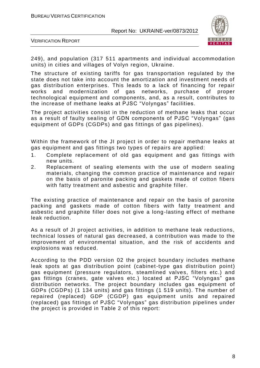

VERIFICATION REPORT

249), and population (317 511 apartments and individual accommodation units) in cities and villages of Volyn region, Ukraine.

The structure of existing tariffs for gas transportation regulated by the state does not take into account the amortization and investment needs of gas distribution enterprises. This leads to a lack of financing for repair works and modernization of gas networks, purchase of proper technological equipment and components, and, as a result, contributes to the increase of methane leaks at PJSC "Volyngas" facilities.

The project activities consist in the reduction of methane leaks that occur as a result of faulty sealing of GDN components of PJSC "Volyngas" (gas equipment of GDPs (CGDPs) and gas fittings of gas pipelines).

Within the framework of the JI project in order to repair methane leaks at gas equipment and gas fittings two types of repairs are applied:

- 1. Complete replacement of old gas equipment and gas fittings with new units.
- 2. Replacement of sealing elements with the use of modern sealing materials, changing the common practice of maintenance and repair on the basis of paronite packing and gaskets made of cotton fibers with fatty treatment and asbestic and graphite filler.

The existing practice of maintenance and repair on the basis of paronite packing and gaskets made of cotton fibers with fatty treatment and asbestic and graphite filler does not give a long-lasting effect of methane leak reduction.

As a result of JI project activities, in addition to methane leak reductions, technical losses of natural gas decreased, a contribution was made to the improvement of environmental situation, and the risk of accidents and explosions was reduced.

According to the PDD version 02 the project boundary includes methane leak spots at gas distribution point (cabinet-type gas distribution point) gas equipment (pressure regulators, steamlined valves, filters etc.) and gas fittings (cranes, gate valves etc.) located at PJSC "Volyngas" gas distribution networks. The project boundary includes gas equipment of GDPs (CGDPs) (1 134 units) and gas fittings (1 519 units). The number of repaired (replaced) GDP (CGDP) gas equipment units and repaired (replaced) gas fittings of PJSC "Volyngas" gas distribution pipelines under the project is provided in Table 2 of this report: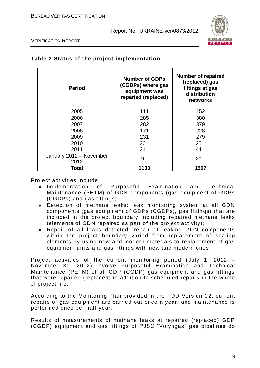

VERIFICATION REPORT

| Table 2 Status of the project implementation |
|----------------------------------------------|
|                                              |

| <b>Period</b>                   | <b>Number of GDPs</b><br>(CGDPs) where gas<br>equipment was<br>reparied (replaced) | <b>Number of repaired</b><br>(replaced) gas<br>fittings at gas<br>distribution<br>networks |
|---------------------------------|------------------------------------------------------------------------------------|--------------------------------------------------------------------------------------------|
| 2005                            | 111                                                                                | 152                                                                                        |
| 2006                            | 285                                                                                | 380                                                                                        |
| 2007                            | 282                                                                                | 379                                                                                        |
| 2008                            | 171                                                                                | 228                                                                                        |
| 2009                            | 231                                                                                | 279                                                                                        |
| 2010                            | 20                                                                                 | 25                                                                                         |
| 2011                            | 21                                                                                 | 44                                                                                         |
| January 2012 - November<br>2012 | 9                                                                                  | 20                                                                                         |
| Total                           | 1130                                                                               | 1507                                                                                       |

Project activities include:

- Implementation of Purposeful Examination and Technical Maintenance (PETM) of GDN components (gas equipment of GDPs (CGDPs) and gas fittings);
- Detection of methane leaks: leak monitoring system at all GDN components (gas equipment of GDPs (CGDPs), gas fittin gs) that are included in the project boundary including repaired methane leaks (elements of GDN repaired as part of the project activity);
- Repair of all leaks detected: repair of leaking GDN components within the project boundary varied from replacement of sealing elements by using new and modern materials to replacement of gas equipment units and gas fittings with new and modern ones .

Project activities of the current monitoring period (July 1, 2012 – November 30, 2012) involve Purposeful Examination and Technical Maintenance (PETM) of all GDP (CGDP) gas equipment and gas fittings that were repaired (replaced) in addition to scheduled repairs in the whole JI project life.

According to the Monitoring Plan provided in the PDD Version 02, current repairs of gas equipment are carried out once a year, and maintenance is performed once per half-year.

Results of measurements of methane leaks at repaired (replaced) GDP (CGDP) equipment and gas fittings of PJSC "Volyngas" gas pipelines do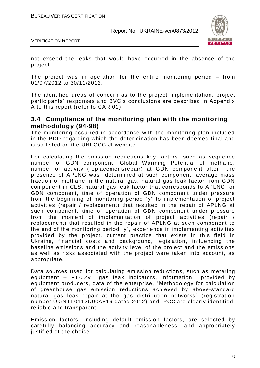

VERIFICATION REPORT

not exceed the leaks that would have occurred in the absence of the project.

The project was in operation for the entire monitoring period – from 01/07/2012 to 30/11/2012.

The identified areas of concern as to the project implementation, project participants' responses and BVC's conclusions are described in Appendix A to this report (refer to CAR 01).

#### **3.4 Compliance of the monitoring plan with the monitoring methodology (94-98)**

The monitoring occurred in accordance with the monitoring plan included in the PDD regarding which the determination has been deemed final and is so listed on the UNFCCC JI website.

For calculating the emission reductions key factors, such as sequence number of GDN component, Global Warming Potential of methane, number of activity (replacement/repair) at GDN component after the presence of APLNG was determined at such component, average mass fraction of methane in the natural gas, natural gas leak factor from GDN component in CLS, natural gas leak factor that corresponds to APLNG for GDN component, time of operation of GDN component under pressure from the beginning of monitoring period "y" to implementation of project activities (repair / replacement) that resulted in the repair of APLNG at such component, time of operation of GDN component under pressure from the moment of implementation of project activities (repair / replacement) that resulted in the repair of APLNG at such component to the end of the monitoring period "y", experience in implementing activities provided by the project, current practice that exists in this field in Ukraine, financial costs and background, legislation, influencing the baseline emissions and the activity level of the project and the emissions as well as risks associated with the project were taken into account, as appropriate.

Data sources used for calculating emission reductions, such as metering equipment – FT-02V1 gas leak indicators, information provided by equipment producers, data of the enterprise, "Methodology for calculation of greenhouse gas emission reductions achieved by above-standard natural gas leak repair at the gas distribution networks" (registration number UkrNTI 0112U00A816 dated 2012) and IPCC are clearly identified, reliable and transparent.

Emission factors, including default emission factors, are selected by carefully balancing accuracy and reasonableness, and appropriately justified of the choice.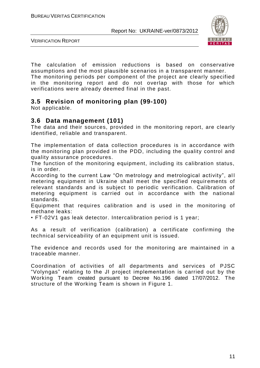

VERIFICATION REPORT

The calculation of emission reductions is based on conservative assumptions and the most plausible scenarios in a transparent manner. The monitoring periods per component of the project are clearly specified in the monitoring report and do not overlap with those for which verifications were already deemed final in the past.

#### **3.5 Revision of monitoring plan (99-100)**

Not applicable.

#### **3.6 Data management (101)**

The data and their sources, provided in the monitoring report, are clearly identified, reliable and transparent.

The implementation of data collection procedures is in accordance with the monitoring plan provided in the PDD, including the quality control and quality assurance procedures.

The function of the monitoring equipment, including its calibration status, is in order.

According to the current Law "On metrology and metrological activity", all metering equipment in Ukraine shall meet the specified requirements of relevant standards and is subject to periodic verification. Calibration of metering equipment is carried out in accordance with the national standards.

Equipment that requires calibration and is used in the monitoring of methane leaks:

• FT-02V1 gas leak detector. Intercalibration period is 1 year;

As a result of verification (calibration) a certificate confirming the technical serviceability of an equipment unit is issued.

The evidence and records used for the monitoring are maintained in a traceable manner.

Coordination of activities of all departments and services of PJSC "Volyngas" relating to the JI project implementation is carried out by the Working Team created pursuant to Decree No.196 dated 17/07/2012. The structure of the Working Team is shown in Figure 1.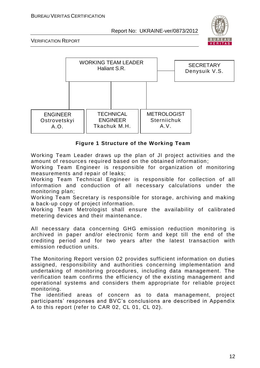

VERIFICATION REPORT



#### **Figure 1 Structure of the Working Team**

Working Team Leader draws up the plan of JI project activities and the amount of resources required based on the obtained information;

Working Team Engineer is responsible for organization of monitoring measurements and repair of leaks;

Working Team Technical Engineer is responsible for collection of all information and conduction of all necessary calculations under the monitoring plan;

Working Team Secretary is responsible for storage, archiving and making a back-up copy of project information.

Working Team Metrologist shall ensure the availability of calibrated metering devices and their maintenance.

All necessary data concerning GHG emission reduction monitoring is archived in paper and/or electronic form and kept till the end of the crediting period and for two years after the latest transaction with emission reduction units.

The Monitoring Report version 02 provides sufficient information on duties assigned, responsibility and authorities concerning implementation and undertaking of monitoring procedures, including data management. The verification team confirms the efficiency of the existing management and operational systems and considers them appropriate for reliable project monitoring.

The identified areas of concern as to data management, project participants' responses and BVC's conclusions are described in Appendix A to this report (refer to CAR 02, CL 01, CL 02).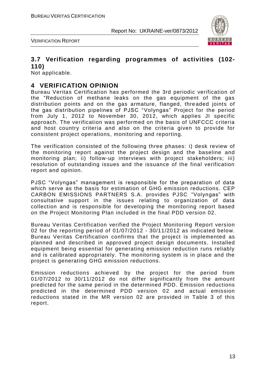

VERIFICATION REPORT

#### **3.7 Verification regarding programmes of activities (102- 110)**

Not applicable.

#### **4 VERIFICATION OPINION**

Bureau Veritas Certification has performed the 3rd periodic verification of the "Reduction of methane leaks on the gas equipment of the gas distribution points and on the gas armature, flanged, thre aded joints of the gas distribution pipelines of PJSC "Volyngas" Project for the period from July 1, 2012 to November 30, 2012, which applies JI specific approach. The verification was performed on the basis of UNFCCC criteria and host country criteria and also on the criteria given to provide for consistent project operations, monitoring and reporting.

The verification consisted of the following three phases: i) desk review of the monitoring report against the project design and the baseline and monitoring plan; ii) follow-up interviews with project stakeholders; iii) resolution of outstanding issues and the issuance of the final verification report and opinion.

PJSC "Volyngas" management is responsible for the preparation of data which serve as the basis for estimation of GHG emission reductions. CEP CARBON EMISSIONS PARTNERS S.A. provides PJSC "Volyngas" with consultative support in the issues relating to organization of data collection and is responsible for developing the monitoring report based on the Project Monitoring Plan included in the final PDD version 02.

Bureau Veritas Certification verified the Project Monitoring Report version 02 for the reporting period of 01/07/2012 - 30/11/2012 as indicated below. Bureau Veritas Certification confirms that the project is implemented as planned and described in approved project design documents. Installed equipment being essential for generating emission reduction runs reliably and is calibrated appropriately. The monitoring system is in place and the project is generating GHG emission reductions.

Emission reductions achieved by the project for the period from 01/07/2012 to 30/11/2012 do not differ significantly from the amount predicted for the same period in the determined PDD. Emission reductions predicted in the determined PDD version 02 and actual emission reductions stated in the MR version 02 are provided in Table 3 of this report.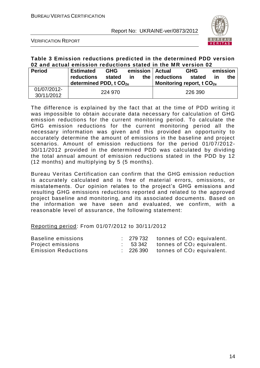

VERIFICATION REPORT

#### **Table 3 Emission reductions predicted in the determined PDD version 02 and actual emission reductions stated in the MR version 02**

| <b>Period</b>             | <b>Estimated</b><br><b>reductions</b><br>determined PDD, t CO <sub>20</sub> | emission   Actual<br><b>GHG</b><br>stated<br><u>in</u> |         | the $\vert$ reductions<br>Monitoring report, t $CO2e$ | <b>GHG</b><br>stated | emission<br>in | the |
|---------------------------|-----------------------------------------------------------------------------|--------------------------------------------------------|---------|-------------------------------------------------------|----------------------|----------------|-----|
| 01/07/2012-<br>30/11/2012 | 224 970                                                                     |                                                        | 226 390 |                                                       |                      |                |     |

The difference is explained by the fact that at the time of PDD writing it was impossible to obtain accurate data necessary for calculation of GHG emission reductions for the current monitoring period. To calculate the GHG emission reductions for the current monitoring period all the necessary information was given and this provided an opportunity to accurately determine the amount of emissions in the baseline and project scenarios. Amount of emission reductions for the period 01/07/2012- 30/11/2012 provided in the determined PDD was calculated by dividing the total annual amount of emission reductions stated in the PDD by 12 (12 months) and multiplying by 5 (5 months).

Bureau Veritas Certification can confirm that the GHG emission reduction is accurately calculated and is free of material errors, omissions, or misstatements. Our opinion relates to the project's GHG emissions and resulting GHG emissions reductions reported and related to the approved project baseline and monitoring, and its associated documents. Based on the information we have seen and evaluated, we confirm, with a reasonable level of assurance, the following statement:

Reporting period: From 01/07/2012 to 30/11/2012

| Baseline emissions         | $\therefore$ 279 732 | tonnes of CO <sub>2</sub> equivalent. |
|----------------------------|----------------------|---------------------------------------|
| Project emissions          | 53 342               | tonnes of CO <sub>2</sub> equivalent. |
| <b>Emission Reductions</b> | $\therefore$ 226 390 | tonnes of CO <sub>2</sub> equivalent. |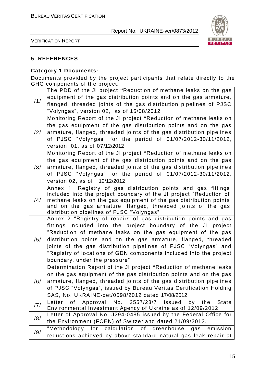

VERIFICATION REPORT

#### **5 REFERENCES**

#### **Category 1 Documents:**

Documents provided by the project participants that relate directly to the GHG components of the project.

|     | The PDD of the JI project "Reduction of methane leaks on the gas                                             |
|-----|--------------------------------------------------------------------------------------------------------------|
|     | equipment of the gas distribution points and on the gas armature,                                            |
| /1/ | flanged, threaded joints of the gas distribution pipelines of PJSC                                           |
|     | "Volyngas", version 02, as of 15/08/2012                                                                     |
|     | Monitoring Report of the JI project "Reduction of methane leaks on                                           |
|     | the gas equipment of the gas distribution points and on the gas                                              |
| /2/ | armature, flanged, threaded joints of the gas distribution pipelines                                         |
|     | of PJSC "Volyngas" for the period of 01/07/2012-30/11/2012,                                                  |
|     | version 01, as of 07/12/2012                                                                                 |
|     | Monitoring Report of the JI project "Reduction of methane leaks on                                           |
|     | the gas equipment of the gas distribution points and on the gas                                              |
| /3/ | armature, flanged, threaded joints of the gas distribution pipelines                                         |
|     | of PJSC "Volyngas" for the period of 01/07/2012-30/11/2012,                                                  |
|     | version 02, as of 12/12/2012                                                                                 |
|     | Annex 1 "Registry of gas distribution points and gas fittings                                                |
|     | included into the project boundary of the JI project "Reduction of                                           |
| /4/ | methane leaks on the gas equipment of the gas distribution points                                            |
|     | and on the gas armature, flanged, threaded joints of the gas                                                 |
|     | distribution pipelines of PJSC "Volyngas"<br>Annex 2 "Registry of repairs of gas distribution points and gas |
|     | fittings included into the project boundary of the JI project                                                |
|     | "Reduction of methane leaks on the gas equipment of the gas                                                  |
| /5/ | distribution points and on the gas armature, flanged, threaded                                               |
|     | joints of the gas distribution pipelines of PJSC "Volyngas" and                                              |
|     | "Registry of locations of GDN components included into the project                                           |
|     | boundary, under the pressure"                                                                                |
|     | Determination Report of the JI project "Reduction of methane leaks                                           |
|     | on the gas equipment of the gas distribution points and on the gas                                           |
| /6/ | armature, flanged, threaded joints of the gas distribution pipelines                                         |
|     | of PJSC "Volyngas", issued by Bureau Veritas Certification Holding                                           |
|     | SAS, No. UKRAINE-det/0598/2012 dated 17/08/2012                                                              |
| /7/ | No. 2557/23/7 issued<br>the<br><b>State</b><br>Letter<br>of<br>Approval<br>by                                |
|     | Environmental Investment Agency of Ukraine as of 12/09/2012                                                  |
| /8/ | Letter of Approval No. J294-0485 issued by the Federal Office for                                            |
|     | the Environment (FOEN) of Switzerland dated 21/09/2012.                                                      |
| /9/ | "Methodology for calculation of greenhouse<br>gas emission                                                   |
|     | reductions achieved by above-standard natural gas leak repair at                                             |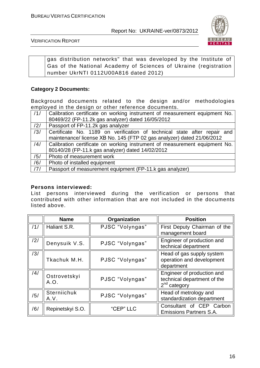

VERIFICATION REPORT

gas distribution networks" that was developed by the Institute of Gas of the National Academy of Sciences of Ukraine (registration number UkrNTI 0112U00A816 dated 2012)

#### **Category 2 Documents:**

Background documents related to the design and/or methodologies employed in the design or other reference documents.

| /1/ | Calibration certificate on working instrument of measurement equipment No. |
|-----|----------------------------------------------------------------------------|
|     | 80469/22 (FP-11.2k gas analyzer) dated 16/05/2012                          |
| /2/ | Passport of FP-11.2k gas analyzer                                          |
| /3/ | Certificate No. 1189 on verification of technical state after repair and   |
|     | maintenance/license XB No. 145 (FTP 02 gas analyzer) dated 21/06/2012      |
| /4/ | Calibration certificate on working instrument of measurement equipment No. |
|     | 80140/28 (FP-11.k gas analyzer) dated 14/02/2012                           |
| /5/ | Photo of measurement work                                                  |
| /6/ | Photo of installed equipment                                               |
| /7/ | Passport of measurement equipment (FP-11.k gas analyzer)                   |

#### **Persons interviewed:**

List persons interviewed during the verification or persons that contributed with other information that are not included in the documents listed above.

|     | <b>Name</b>          | Organization    | <b>Position</b>                                                             |
|-----|----------------------|-----------------|-----------------------------------------------------------------------------|
| /1/ | Haliant S.R.         | PJSC "Volyngas" | First Deputy Chairman of the<br>management board                            |
| /2/ | Denysuik V.S.        | PJSC "Volyngas" | Engineer of production and<br>technical department                          |
| /3/ | Tkachuk M.H.         | PJSC "Volyngas" | Head of gas supply system<br>operation and development<br>department        |
| /4/ | Ostrovetskyi<br>A.O. | PJSC "Volyngas" | Engineer of production and<br>technical department of the<br>$2nd$ category |
| /5/ | Sterniichuk<br>A.V.  | PJSC "Volyngas" | Head of metrology and<br>standardization department                         |
| /6/ | Repinetskyi S.O.     | "CEP" LLC       | Consultant of CEP Carbon<br><b>Emissions Partners S.A.</b>                  |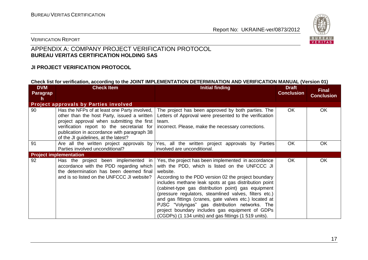

#### VERIFICATION REPORT

#### APPENDIX A: COMPANY PROJECT VERIFICATION PROTOCOL **BUREAU VERITAS CERTIFICATION HOLDING SAS**

#### **JI PROJECT VERIFICATION PROTOCOL**

#### **Check list for verification, according to the JOINT IMPLEMENTATION DETERMINATION AND VERIFICATION MANUAL (Version 01)**

| <b>DVM</b><br>Paragrap<br>h | <b>Check Item</b>                                                                                                                                                                                                                                                              | <b>Initial finding</b>                                                                                                                                                                                                                                                                                                                                                                                                                                                                                                                                                      | <b>Draft</b><br><b>Conclusion</b> | <b>Final</b><br><b>Conclusion</b> |
|-----------------------------|--------------------------------------------------------------------------------------------------------------------------------------------------------------------------------------------------------------------------------------------------------------------------------|-----------------------------------------------------------------------------------------------------------------------------------------------------------------------------------------------------------------------------------------------------------------------------------------------------------------------------------------------------------------------------------------------------------------------------------------------------------------------------------------------------------------------------------------------------------------------------|-----------------------------------|-----------------------------------|
|                             | <b>Project approvals by Parties involved</b>                                                                                                                                                                                                                                   |                                                                                                                                                                                                                                                                                                                                                                                                                                                                                                                                                                             |                                   |                                   |
| 90                          | Has the NFPs of at least one Party involved,<br>other than the host Party, issued a written<br>project approval when submitting the first<br>verification report to the secretariat for<br>publication in accordance with paragraph 38<br>of the JI guidelines, at the latest? | The project has been approved by both parties. The<br>Letters of Approval were presented to the verification<br>team.<br>incorrect. Please, make the necessary corrections.                                                                                                                                                                                                                                                                                                                                                                                                 | OK.                               | OK.                               |
| 91                          | Are all the written project approvals by<br>Parties involved unconditional?                                                                                                                                                                                                    | Yes, all the written project approvals by Parties<br>involved are unconditional.                                                                                                                                                                                                                                                                                                                                                                                                                                                                                            | <b>OK</b>                         | OK                                |
|                             | <b>Project implementation</b>                                                                                                                                                                                                                                                  |                                                                                                                                                                                                                                                                                                                                                                                                                                                                                                                                                                             |                                   |                                   |
| 92                          | Has the project been implemented in<br>accordance with the PDD regarding which<br>the determination has been deemed final<br>and is so listed on the UNFCCC JI website?                                                                                                        | Yes, the project has been implemented in accordance<br>with the PDD, which is listed on the UNFCCC JI<br>website.<br>According to the PDD version 02 the project boundary<br>includes methane leak spots at gas distribution point<br>(cabinet-type gas distribution point) gas equipment<br>(pressure regulators, steamlined valves, filters etc.)<br>and gas fittings (cranes, gate valves etc.) located at<br>PJSC "Volyngas" gas distribution networks. The<br>project boundary includes gas equipment of GDPs<br>(CGDPs) (1 134 units) and gas fittings (1 519 units). | <b>OK</b>                         | OK                                |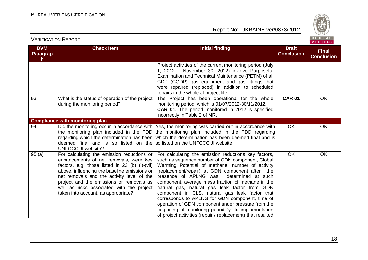

#### **DVM Paragrap h Check Item Initial finding Initial finding Draft Conclusion Final Conclusion** Project activities of the current monitoring period (July 1, 2012 – November 30, 2012) involve Purposeful Examination and Technical Maintenance (PETM) of all GDP (CGDP) gas equipment and gas fittings that were repaired (replaced) in addition to scheduled repairs in the whole JI project life. 93 What is the status of operation of the project during the monitoring period? The Project has been operational for the whole monitoring period, which is 01/07/2012-30/11/2012. **CAR 01.** The period monitored in 2012 is specified incorrectly in Table 2 of MR. **CAR 01** OK **Compliance with monitoring plan** 94 Did the monitoring occur in accordance with the monitoring plan included in the PDD the monitoring plan included in the PDD regarding regarding which the determination has been deemed final and is so listed on the UNFCCC JI website? Yes, the monitoring was carried out in accordance with which the determination has been deemed final and is so listed on the UNFCCC JI website. OK OK 95 (a) For calculating the emission reductions or enhancements of net removals, were key factors, e.g. those listed in 23 (b) (i)-(vii) above, influencing the baseline emissions or net removals and the activity level of the project and the emissions or removals as well as risks associated with the project taken into account, as appropriate? For calculating the emission reductions key factors, such as sequence number of GDN component, Global Warming Potential of methane, number of activity (replacement/repair) at GDN component after the presence of APLNG was determined at such component, average mass fraction of methane in the natural gas, natural gas leak factor from GDN component in CLS, natural gas leak factor that corresponds to APLNG for GDN component, time of operation of GDN component under pressure from the beginning of monitoring period "y" to implementation of project activities (repair / replacement) that resulted OK OK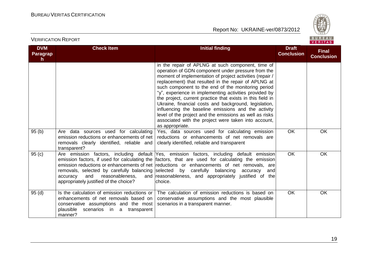

| <b>DVM</b><br><b>Paragrap</b><br>h. | <b>Check Item</b>                                                                                                                                                                       | <b>Initial finding</b>                                                                                                                                                                                                                                                                                                                                                                                                                                                                                                                                                                                                                                          | <b>Draft</b><br><b>Conclusion</b> | <b>Final</b><br><b>Conclusion</b> |
|-------------------------------------|-----------------------------------------------------------------------------------------------------------------------------------------------------------------------------------------|-----------------------------------------------------------------------------------------------------------------------------------------------------------------------------------------------------------------------------------------------------------------------------------------------------------------------------------------------------------------------------------------------------------------------------------------------------------------------------------------------------------------------------------------------------------------------------------------------------------------------------------------------------------------|-----------------------------------|-----------------------------------|
|                                     |                                                                                                                                                                                         | in the repair of APLNG at such component, time of<br>operation of GDN component under pressure from the<br>moment of implementation of project activities (repair /<br>replacement) that resulted in the repair of APLNG at<br>such component to the end of the monitoring period<br>"y", experience in implementing activities provided by<br>the project, current practice that exists in this field in<br>Ukraine, financial costs and background, legislation,<br>influencing the baseline emissions and the activity<br>level of the project and the emissions as well as risks<br>associated with the project were taken into account,<br>as appropriate. |                                   |                                   |
| 95(b)                               | Are data sources used for calculating<br>emission reductions or enhancements of net<br>removals clearly identified, reliable and<br>transparent?                                        | Yes, data sources used for calculating emission<br>reductions or enhancements of net removals are<br>clearly identified, reliable and transparent                                                                                                                                                                                                                                                                                                                                                                                                                                                                                                               | <b>OK</b>                         | OK                                |
| 95(c)                               | removals, selected by carefully balancing selected by carefully balancing<br>and<br>reasonableness,<br>accuracy<br>appropriately justified of the choice?                               | Are emission factors, including default Yes, emission factors, including default emission<br>emission factors, if used for calculating the factors, that are used for calculating the emission<br>emission reductions or enhancements of net reductions or enhancements of net removals, are<br>accuracy<br>and<br>and reasonableness, and appropriately justified of the<br>choice.                                                                                                                                                                                                                                                                            | <b>OK</b>                         | OK                                |
| 95(d)                               | Is the calculation of emission reductions or<br>enhancements of net removals based on<br>conservative assumptions and the most<br>plausible<br>scenarios in a<br>transparent<br>manner? | The calculation of emission reductions is based on<br>conservative assumptions and the most plausible<br>scenarios in a transparent manner.                                                                                                                                                                                                                                                                                                                                                                                                                                                                                                                     | <b>OK</b>                         | OK                                |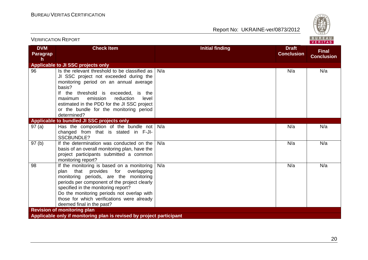

| <b>VERIFICATION REPORT</b>                                           |                                                                                                                                                                                                                                                                                                                                               |                        |                                   | BUREAU<br>VERITAS                 |  |  |
|----------------------------------------------------------------------|-----------------------------------------------------------------------------------------------------------------------------------------------------------------------------------------------------------------------------------------------------------------------------------------------------------------------------------------------|------------------------|-----------------------------------|-----------------------------------|--|--|
| <b>DVM</b><br>Paragrap<br>h.                                         | <b>Check Item</b>                                                                                                                                                                                                                                                                                                                             | <b>Initial finding</b> | <b>Draft</b><br><b>Conclusion</b> | <b>Final</b><br><b>Conclusion</b> |  |  |
|                                                                      | Applicable to JI SSC projects only                                                                                                                                                                                                                                                                                                            |                        |                                   |                                   |  |  |
| 96                                                                   | Is the relevant threshold to be classified as<br>JI SSC project not exceeded during the<br>monitoring period on an annual average<br>basis?<br>If the threshold is exceeded, is the<br>emission<br>reduction<br>maximum<br>level<br>estimated in the PDD for the JI SSC project<br>or the bundle for the monitoring period<br>determined?     | N/a                    | N/a                               | N/a                               |  |  |
|                                                                      | Applicable to bundled JI SSC projects only                                                                                                                                                                                                                                                                                                    |                        |                                   |                                   |  |  |
| 97(a)                                                                | Has the composition of the bundle not<br>changed from that is stated in F-JI-<br><b>SSCBUNDLE?</b>                                                                                                                                                                                                                                            | N/a                    | N/a                               | N/a                               |  |  |
| 97(b)                                                                | If the determination was conducted on the<br>basis of an overall monitoring plan, have the<br>project participants submitted a common<br>monitoring report?                                                                                                                                                                                   | N/a                    | N/a                               | N/a                               |  |  |
| 98                                                                   | If the monitoring is based on a monitoring<br>that provides for overlapping<br>plan<br>monitoring periods, are the monitoring<br>periods per component of the project clearly<br>specified in the monitoring report?<br>Do the monitoring periods not overlap with<br>those for which verifications were already<br>deemed final in the past? | N/a                    | N/a                               | N/a                               |  |  |
| <b>Revision of monitoring plan</b>                                   |                                                                                                                                                                                                                                                                                                                                               |                        |                                   |                                   |  |  |
| Applicable only if monitoring plan is revised by project participant |                                                                                                                                                                                                                                                                                                                                               |                        |                                   |                                   |  |  |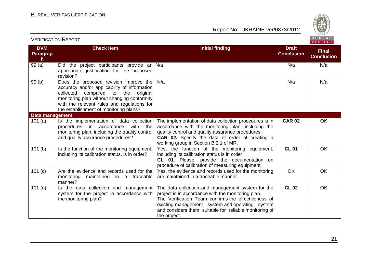

| <b>VERIFICATION REPORT</b>                    |                                                                                                                                                                                                                                                                         |                                                                                                                                                                                                                                                                                             | BUREAU<br>VERITAS                 |                                   |
|-----------------------------------------------|-------------------------------------------------------------------------------------------------------------------------------------------------------------------------------------------------------------------------------------------------------------------------|---------------------------------------------------------------------------------------------------------------------------------------------------------------------------------------------------------------------------------------------------------------------------------------------|-----------------------------------|-----------------------------------|
| <b>DVM</b><br><b>Paragrap</b><br>$\mathsf{h}$ | <b>Check Item</b>                                                                                                                                                                                                                                                       | <b>Initial finding</b>                                                                                                                                                                                                                                                                      | <b>Draft</b><br><b>Conclusion</b> | <b>Final</b><br><b>Conclusion</b> |
| 99(a)                                         | Did the project participants provide an N/a<br>appropriate justification for the proposed<br>revision?                                                                                                                                                                  |                                                                                                                                                                                                                                                                                             | N/a                               | N/a                               |
| 99 (b)                                        | Does the proposed revision improve the<br>accuracy and/or applicability of information<br>collected<br>compared to the original<br>monitoring plan without changing conformity<br>with the relevant rules and regulations for<br>the establishment of monitoring plans? | N/a                                                                                                                                                                                                                                                                                         | N/a                               | N/a                               |
| Data management                               |                                                                                                                                                                                                                                                                         |                                                                                                                                                                                                                                                                                             |                                   |                                   |
| 101(a)                                        | Is the implementation of data collection<br>procedures in accordance<br>with the<br>monitoring plan, including the quality control<br>and quality assurance procedures?                                                                                                 | The implementation of data collection procedures is in<br>accordance with the monitoring plan, including the<br>quality control and quality assurance procedures.<br>CAR 02. Specify the data of order of creating a<br>working group in Section B.2.1 of MR.                               | <b>CAR 02</b>                     | OK                                |
| 101(b)                                        | Is the function of the monitoring equipment,<br>including its calibration status, is in order?                                                                                                                                                                          | Yes, the function of the monitoring equipment,<br>including its calibration status is in order.<br>CL 01. Please, provide the documentation on<br>procedure of calibration of measuring equipment.                                                                                          | <b>CL 01</b>                      | OK                                |
| 101(c)                                        | Are the evidence and records used for the<br>maintained in a traceable<br>monitoring<br>manner?                                                                                                                                                                         | Yes, the evidence and records used for the monitoring<br>are maintained in a traceable manner.                                                                                                                                                                                              | OK                                | OK                                |
| $101$ (d)                                     | Is the data collection and management<br>system for the project in accordance with<br>the monitoring plan?                                                                                                                                                              | The data collection and management system for the<br>project is in accordance with the monitoring plan.<br>The Verification Team confirms the effectiveness of<br>existing management system and operating system<br>and considers them suitable for reliable monitoring of<br>the project. | <b>CL 02</b>                      | OK                                |

#### 21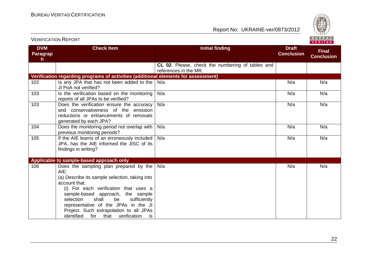

| <b>DVM</b><br>Paragrap<br>h | <b>Check Item</b>                                                                                                                                                                                                                                                                                                                                                        | <b>Initial finding</b>                                                    | <b>Draft</b><br><b>Conclusion</b> | <b>Final</b><br><b>Conclusion</b> |
|-----------------------------|--------------------------------------------------------------------------------------------------------------------------------------------------------------------------------------------------------------------------------------------------------------------------------------------------------------------------------------------------------------------------|---------------------------------------------------------------------------|-----------------------------------|-----------------------------------|
|                             |                                                                                                                                                                                                                                                                                                                                                                          | CL 02. Please, check the numbering of tables and<br>references in the MR. |                                   |                                   |
|                             | Verification regarding programs of activities (additional elements for assessment)                                                                                                                                                                                                                                                                                       |                                                                           |                                   |                                   |
| 102                         | Is any JPA that has not been added to the<br>JI PoA not verified?                                                                                                                                                                                                                                                                                                        | N/a                                                                       | N/a                               | N/a                               |
| 103                         | Is the verification based on the monitoring<br>reports of all JPAs to be verified?                                                                                                                                                                                                                                                                                       | N/a                                                                       | N/a                               | N/a                               |
| 103                         | Does the verification ensure the accuracy<br>and conservativeness of the emission<br>reductions or enhancements of removals<br>generated by each JPA?                                                                                                                                                                                                                    | N/a                                                                       | N/a                               | N/a                               |
| 104                         | Does the monitoring period not overlap with<br>previous monitoring periods?                                                                                                                                                                                                                                                                                              | N/a                                                                       | N/a                               | N/a                               |
| 105                         | If the AIE learns of an erroneously included<br>JPA, has the AIE informed the JISC of its<br>findings in writing?                                                                                                                                                                                                                                                        | N/a                                                                       | N/a                               | N/a                               |
|                             | Applicable to sample-based approach only                                                                                                                                                                                                                                                                                                                                 |                                                                           |                                   |                                   |
| 106                         | Does the sampling plan prepared by the<br>AIE:<br>(a) Describe its sample selection, taking into<br>account that:<br>(i) For each verification that uses a<br>sample-based approach, the sample<br>selection<br>shall<br>be<br>sufficiently<br>representative of the JPAs in the JI<br>Project. Such extrapolation to all JPAs<br>identified for that verification<br>is | N/a                                                                       | N/a                               | N/a                               |

VERIFICATION REPORT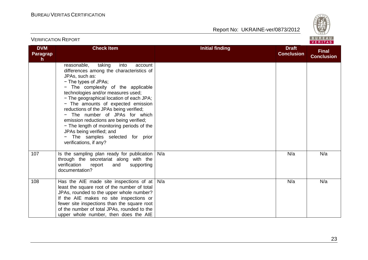

|                              |                                                                                                                                                                                                                                                                                                                                                                                                                                                                                                                                                          |                        |                                   | $V$ Entires                       |
|------------------------------|----------------------------------------------------------------------------------------------------------------------------------------------------------------------------------------------------------------------------------------------------------------------------------------------------------------------------------------------------------------------------------------------------------------------------------------------------------------------------------------------------------------------------------------------------------|------------------------|-----------------------------------|-----------------------------------|
| <b>DVM</b><br>Paragrap<br>h. | <b>Check Item</b>                                                                                                                                                                                                                                                                                                                                                                                                                                                                                                                                        | <b>Initial finding</b> | <b>Draft</b><br><b>Conclusion</b> | <b>Final</b><br><b>Conclusion</b> |
|                              | reasonable,<br>taking<br>into<br>account<br>differences among the characteristics of<br>JPAs, such as:<br>- The types of JPAs;<br>- The complexity of the applicable<br>technologies and/or measures used;<br>- The geographical location of each JPA;<br>- The amounts of expected emission<br>reductions of the JPAs being verified;<br>- The number of JPAs for which<br>emission reductions are being verified;<br>- The length of monitoring periods of the<br>JPAs being verified; and<br>The samples selected for prior<br>verifications, if any? |                        |                                   |                                   |
| 107                          | Is the sampling plan ready for publication<br>through the secretariat along with the<br>verification<br>report<br>and<br>supporting<br>documentation?                                                                                                                                                                                                                                                                                                                                                                                                    | N/a                    | N/a                               | N/a                               |
| 108                          | Has the AIE made site inspections of at<br>least the square root of the number of total<br>JPAs, rounded to the upper whole number?<br>If the AIE makes no site inspections or<br>fewer site inspections than the square root<br>of the number of total JPAs, rounded to the<br>upper whole number, then does the AIE                                                                                                                                                                                                                                    | N/a                    | N/a                               | N/a                               |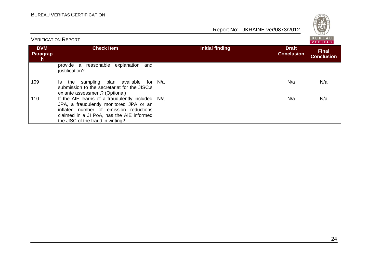

VERIFICATION REPORT

**BUREAU** 

|                                     |                                                                                                                                                                                                                       |                 |                                   | ________                          |
|-------------------------------------|-----------------------------------------------------------------------------------------------------------------------------------------------------------------------------------------------------------------------|-----------------|-----------------------------------|-----------------------------------|
| <b>DVM</b><br><b>Paragrap</b><br>h. | <b>Check Item</b>                                                                                                                                                                                                     | Initial finding | <b>Draft</b><br><b>Conclusion</b> | <b>Final</b><br><b>Conclusion</b> |
|                                     | provide a reasonable explanation<br>and<br>justification?                                                                                                                                                             |                 |                                   |                                   |
| 109                                 | the sampling plan available<br>ls.<br>for l<br>submission to the secretariat for the JISC.s<br>ex ante assessment? (Optional)                                                                                         | N/a             | N/a                               | N/a                               |
| 110                                 | If the AIE learns of a fraudulently included  <br>JPA, a fraudulently monitored JPA or an<br>inflated number of emission reductions<br>claimed in a JI PoA, has the AIE informed<br>the JISC of the fraud in writing? | N/a             | N/a                               | N/a                               |